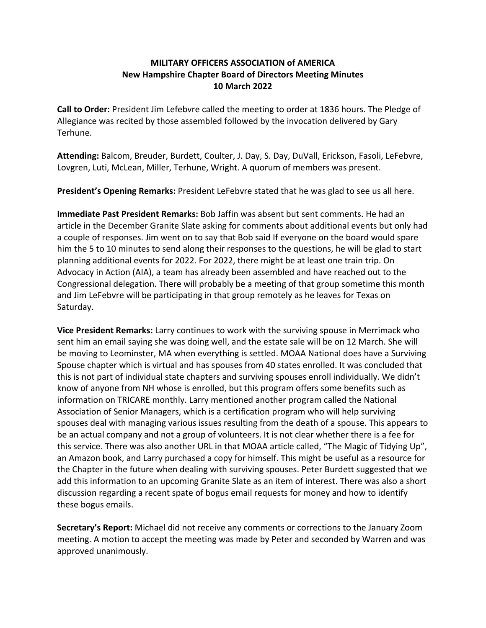## **MILITARY OFFICERS ASSOCIATION of AMERICA New Hampshire Chapter Board of Directors Meeting Minutes 10 March 2022**

**Call to Order:** President Jim Lefebvre called the meeting to order at 1836 hours. The Pledge of Allegiance was recited by those assembled followed by the invocation delivered by Gary Terhune.

**Attending:** Balcom, Breuder, Burdett, Coulter, J. Day, S. Day, DuVall, Erickson, Fasoli, LeFebvre, Lovgren, Luti, McLean, Miller, Terhune, Wright. A quorum of members was present.

**President's Opening Remarks:** President LeFebvre stated that he was glad to see us all here.

**Immediate Past President Remarks:** Bob Jaffin was absent but sent comments. He had an article in the December Granite Slate asking for comments about additional events but only had a couple of responses. Jim went on to say that Bob said If everyone on the board would spare him the 5 to 10 minutes to send along their responses to the questions, he will be glad to start planning additional events for 2022. For 2022, there might be at least one train trip. On Advocacy in Action (AIA), a team has already been assembled and have reached out to the Congressional delegation. There will probably be a meeting of that group sometime this month and Jim LeFebvre will be participating in that group remotely as he leaves for Texas on Saturday.

**Vice President Remarks:** Larry continues to work with the surviving spouse in Merrimack who sent him an email saying she was doing well, and the estate sale will be on 12 March. She will be moving to Leominster, MA when everything is settled. MOAA National does have a Surviving Spouse chapter which is virtual and has spouses from 40 states enrolled. It was concluded that this is not part of individual state chapters and surviving spouses enroll individually. We didn't know of anyone from NH whose is enrolled, but this program offers some benefits such as information on TRICARE monthly. Larry mentioned another program called the National Association of Senior Managers, which is a certification program who will help surviving spouses deal with managing various issues resulting from the death of a spouse. This appears to be an actual company and not a group of volunteers. It is not clear whether there is a fee for this service. There was also another URL in that MOAA article called, "The Magic of Tidying Up", an Amazon book, and Larry purchased a copy for himself. This might be useful as a resource for the Chapter in the future when dealing with surviving spouses. Peter Burdett suggested that we add this information to an upcoming Granite Slate as an item of interest. There was also a short discussion regarding a recent spate of bogus email requests for money and how to identify these bogus emails.

**Secretary's Report:** Michael did not receive any comments or corrections to the January Zoom meeting. A motion to accept the meeting was made by Peter and seconded by Warren and was approved unanimously.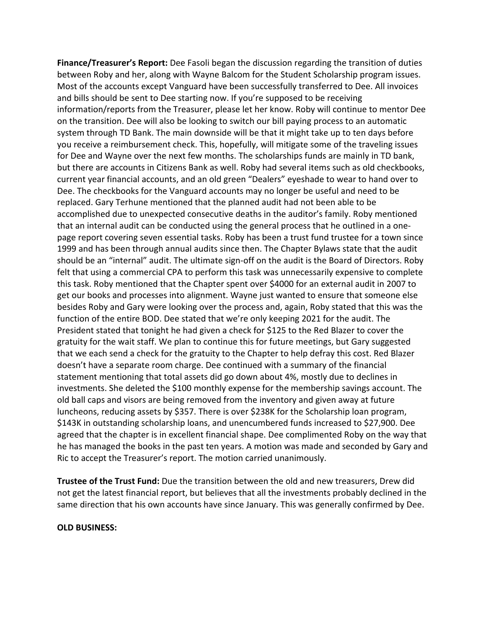**Finance/Treasurer's Report:** Dee Fasoli began the discussion regarding the transition of duties between Roby and her, along with Wayne Balcom for the Student Scholarship program issues. Most of the accounts except Vanguard have been successfully transferred to Dee. All invoices and bills should be sent to Dee starting now. If you're supposed to be receiving information/reports from the Treasurer, please let her know. Roby will continue to mentor Dee on the transition. Dee will also be looking to switch our bill paying process to an automatic system through TD Bank. The main downside will be that it might take up to ten days before you receive a reimbursement check. This, hopefully, will mitigate some of the traveling issues for Dee and Wayne over the next few months. The scholarships funds are mainly in TD bank, but there are accounts in Citizens Bank as well. Roby had several items such as old checkbooks, current year financial accounts, and an old green "Dealers" eyeshade to wear to hand over to Dee. The checkbooks for the Vanguard accounts may no longer be useful and need to be replaced. Gary Terhune mentioned that the planned audit had not been able to be accomplished due to unexpected consecutive deaths in the auditor's family. Roby mentioned that an internal audit can be conducted using the general process that he outlined in a one‐ page report covering seven essential tasks. Roby has been a trust fund trustee for a town since 1999 and has been through annual audits since then. The Chapter Bylaws state that the audit should be an "internal" audit. The ultimate sign‐off on the audit is the Board of Directors. Roby felt that using a commercial CPA to perform this task was unnecessarily expensive to complete this task. Roby mentioned that the Chapter spent over \$4000 for an external audit in 2007 to get our books and processes into alignment. Wayne just wanted to ensure that someone else besides Roby and Gary were looking over the process and, again, Roby stated that this was the function of the entire BOD. Dee stated that we're only keeping 2021 for the audit. The President stated that tonight he had given a check for \$125 to the Red Blazer to cover the gratuity for the wait staff. We plan to continue this for future meetings, but Gary suggested that we each send a check for the gratuity to the Chapter to help defray this cost. Red Blazer doesn't have a separate room charge. Dee continued with a summary of the financial statement mentioning that total assets did go down about 4%, mostly due to declines in investments. She deleted the \$100 monthly expense for the membership savings account. The old ball caps and visors are being removed from the inventory and given away at future luncheons, reducing assets by \$357. There is over \$238K for the Scholarship loan program, \$143K in outstanding scholarship loans, and unencumbered funds increased to \$27,900. Dee agreed that the chapter is in excellent financial shape. Dee complimented Roby on the way that he has managed the books in the past ten years. A motion was made and seconded by Gary and Ric to accept the Treasurer's report. The motion carried unanimously.

**Trustee of the Trust Fund:** Due the transition between the old and new treasurers, Drew did not get the latest financial report, but believes that all the investments probably declined in the same direction that his own accounts have since January. This was generally confirmed by Dee.

#### **OLD BUSINESS:**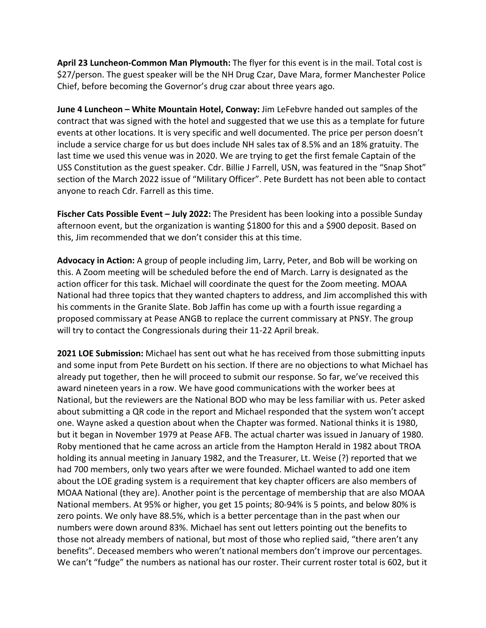**April 23 Luncheon‐Common Man Plymouth:** The flyer for this event is in the mail. Total cost is \$27/person. The guest speaker will be the NH Drug Czar, Dave Mara, former Manchester Police Chief, before becoming the Governor's drug czar about three years ago.

**June 4 Luncheon – White Mountain Hotel, Conway:** Jim LeFebvre handed out samples of the contract that was signed with the hotel and suggested that we use this as a template for future events at other locations. It is very specific and well documented. The price per person doesn't include a service charge for us but does include NH sales tax of 8.5% and an 18% gratuity. The last time we used this venue was in 2020. We are trying to get the first female Captain of the USS Constitution as the guest speaker. Cdr. Billie J Farrell, USN, was featured in the "Snap Shot" section of the March 2022 issue of "Military Officer". Pete Burdett has not been able to contact anyone to reach Cdr. Farrell as this time.

**Fischer Cats Possible Event – July 2022:** The President has been looking into a possible Sunday afternoon event, but the organization is wanting \$1800 for this and a \$900 deposit. Based on this, Jim recommended that we don't consider this at this time.

**Advocacy in Action:** A group of people including Jim, Larry, Peter, and Bob will be working on this. A Zoom meeting will be scheduled before the end of March. Larry is designated as the action officer for this task. Michael will coordinate the quest for the Zoom meeting. MOAA National had three topics that they wanted chapters to address, and Jim accomplished this with his comments in the Granite Slate. Bob Jaffin has come up with a fourth issue regarding a proposed commissary at Pease ANGB to replace the current commissary at PNSY. The group will try to contact the Congressionals during their 11‐22 April break.

**2021 LOE Submission:** Michael has sent out what he has received from those submitting inputs and some input from Pete Burdett on his section. If there are no objections to what Michael has already put together, then he will proceed to submit our response. So far, we've received this award nineteen years in a row. We have good communications with the worker bees at National, but the reviewers are the National BOD who may be less familiar with us. Peter asked about submitting a QR code in the report and Michael responded that the system won't accept one. Wayne asked a question about when the Chapter was formed. National thinks it is 1980, but it began in November 1979 at Pease AFB. The actual charter was issued in January of 1980. Roby mentioned that he came across an article from the Hampton Herald in 1982 about TROA holding its annual meeting in January 1982, and the Treasurer, Lt. Weise (?) reported that we had 700 members, only two years after we were founded. Michael wanted to add one item about the LOE grading system is a requirement that key chapter officers are also members of MOAA National (they are). Another point is the percentage of membership that are also MOAA National members. At 95% or higher, you get 15 points; 80‐94% is 5 points, and below 80% is zero points. We only have 88.5%, which is a better percentage than in the past when our numbers were down around 83%. Michael has sent out letters pointing out the benefits to those not already members of national, but most of those who replied said, "there aren't any benefits". Deceased members who weren't national members don't improve our percentages. We can't "fudge" the numbers as national has our roster. Their current roster total is 602, but it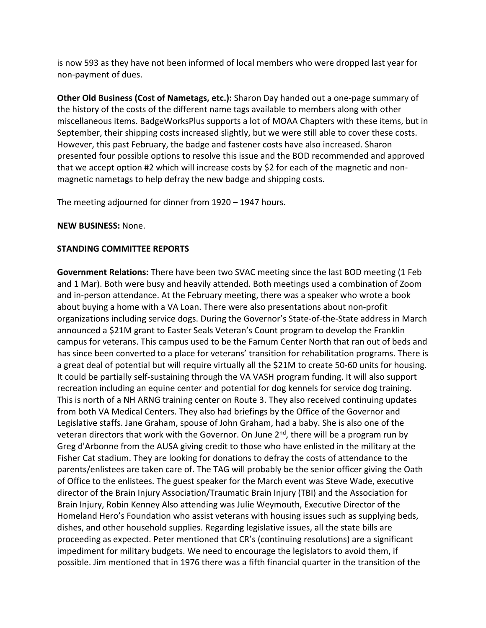is now 593 as they have not been informed of local members who were dropped last year for non‐payment of dues.

**Other Old Business (Cost of Nametags, etc.):** Sharon Day handed out a one‐page summary of the history of the costs of the different name tags available to members along with other miscellaneous items. BadgeWorksPlus supports a lot of MOAA Chapters with these items, but in September, their shipping costs increased slightly, but we were still able to cover these costs. However, this past February, the badge and fastener costs have also increased. Sharon presented four possible options to resolve this issue and the BOD recommended and approved that we accept option #2 which will increase costs by \$2 for each of the magnetic and non‐ magnetic nametags to help defray the new badge and shipping costs.

The meeting adjourned for dinner from 1920 – 1947 hours.

### **NEW BUSINESS:** None.

### **STANDING COMMITTEE REPORTS**

**Government Relations:** There have been two SVAC meeting since the last BOD meeting (1 Feb and 1 Mar). Both were busy and heavily attended. Both meetings used a combination of Zoom and in-person attendance. At the February meeting, there was a speaker who wrote a book about buying a home with a VA Loan. There were also presentations about non‐profit organizations including service dogs. During the Governor's State‐of‐the‐State address in March announced a \$21M grant to Easter Seals Veteran's Count program to develop the Franklin campus for veterans. This campus used to be the Farnum Center North that ran out of beds and has since been converted to a place for veterans' transition for rehabilitation programs. There is a great deal of potential but will require virtually all the \$21M to create 50‐60 units for housing. It could be partially self‐sustaining through the VA VASH program funding. It will also support recreation including an equine center and potential for dog kennels for service dog training. This is north of a NH ARNG training center on Route 3. They also received continuing updates from both VA Medical Centers. They also had briefings by the Office of the Governor and Legislative staffs. Jane Graham, spouse of John Graham, had a baby. She is also one of the veteran directors that work with the Governor. On June 2<sup>nd</sup>, there will be a program run by Greg d'Arbonne from the AUSA giving credit to those who have enlisted in the military at the Fisher Cat stadium. They are looking for donations to defray the costs of attendance to the parents/enlistees are taken care of. The TAG will probably be the senior officer giving the Oath of Office to the enlistees. The guest speaker for the March event was Steve Wade, executive director of the Brain Injury Association/Traumatic Brain Injury (TBI) and the Association for Brain Injury, Robin Kenney Also attending was Julie Weymouth, Executive Director of the Homeland Hero's Foundation who assist veterans with housing issues such as supplying beds, dishes, and other household supplies. Regarding legislative issues, all the state bills are proceeding as expected. Peter mentioned that CR's (continuing resolutions) are a significant impediment for military budgets. We need to encourage the legislators to avoid them, if possible. Jim mentioned that in 1976 there was a fifth financial quarter in the transition of the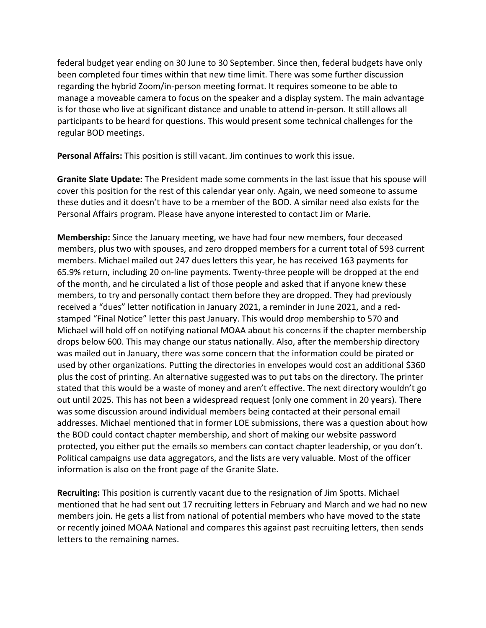federal budget year ending on 30 June to 30 September. Since then, federal budgets have only been completed four times within that new time limit. There was some further discussion regarding the hybrid Zoom/in‐person meeting format. It requires someone to be able to manage a moveable camera to focus on the speaker and a display system. The main advantage is for those who live at significant distance and unable to attend in‐person. It still allows all participants to be heard for questions. This would present some technical challenges for the regular BOD meetings.

**Personal Affairs:** This position is still vacant. Jim continues to work this issue.

**Granite Slate Update:** The President made some comments in the last issue that his spouse will cover this position for the rest of this calendar year only. Again, we need someone to assume these duties and it doesn't have to be a member of the BOD. A similar need also exists for the Personal Affairs program. Please have anyone interested to contact Jim or Marie.

**Membership:** Since the January meeting, we have had four new members, four deceased members, plus two with spouses, and zero dropped members for a current total of 593 current members. Michael mailed out 247 dues letters this year, he has received 163 payments for 65.9% return, including 20 on‐line payments. Twenty‐three people will be dropped at the end of the month, and he circulated a list of those people and asked that if anyone knew these members, to try and personally contact them before they are dropped. They had previously received a "dues" letter notification in January 2021, a reminder in June 2021, and a red‐ stamped "Final Notice" letter this past January. This would drop membership to 570 and Michael will hold off on notifying national MOAA about his concerns if the chapter membership drops below 600. This may change our status nationally. Also, after the membership directory was mailed out in January, there was some concern that the information could be pirated or used by other organizations. Putting the directories in envelopes would cost an additional \$360 plus the cost of printing. An alternative suggested was to put tabs on the directory. The printer stated that this would be a waste of money and aren't effective. The next directory wouldn't go out until 2025. This has not been a widespread request (only one comment in 20 years). There was some discussion around individual members being contacted at their personal email addresses. Michael mentioned that in former LOE submissions, there was a question about how the BOD could contact chapter membership, and short of making our website password protected, you either put the emails so members can contact chapter leadership, or you don't. Political campaigns use data aggregators, and the lists are very valuable. Most of the officer information is also on the front page of the Granite Slate.

**Recruiting:** This position is currently vacant due to the resignation of Jim Spotts. Michael mentioned that he had sent out 17 recruiting letters in February and March and we had no new members join. He gets a list from national of potential members who have moved to the state or recently joined MOAA National and compares this against past recruiting letters, then sends letters to the remaining names.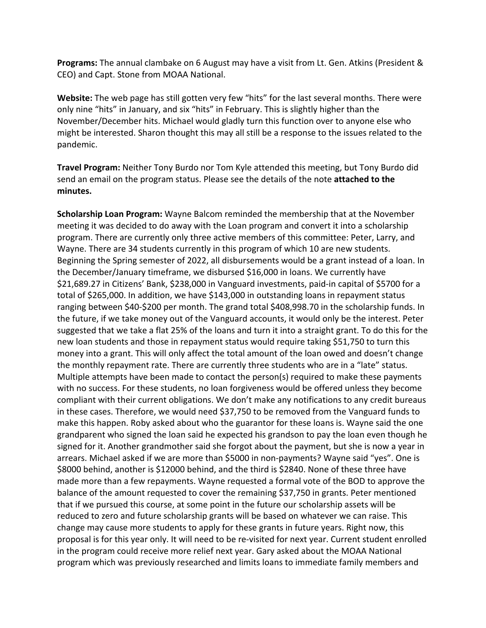**Programs:** The annual clambake on 6 August may have a visit from Lt. Gen. Atkins (President & CEO) and Capt. Stone from MOAA National.

**Website:** The web page has still gotten very few "hits" for the last several months. There were only nine "hits" in January, and six "hits" in February. This is slightly higher than the November/December hits. Michael would gladly turn this function over to anyone else who might be interested. Sharon thought this may all still be a response to the issues related to the pandemic.

**Travel Program:** Neither Tony Burdo nor Tom Kyle attended this meeting, but Tony Burdo did send an email on the program status. Please see the details of the note **attached to the minutes.**

**Scholarship Loan Program:** Wayne Balcom reminded the membership that at the November meeting it was decided to do away with the Loan program and convert it into a scholarship program. There are currently only three active members of this committee: Peter, Larry, and Wayne. There are 34 students currently in this program of which 10 are new students. Beginning the Spring semester of 2022, all disbursements would be a grant instead of a loan. In the December/January timeframe, we disbursed \$16,000 in loans. We currently have \$21,689.27 in Citizens' Bank, \$238,000 in Vanguard investments, paid-in capital of \$5700 for a total of \$265,000. In addition, we have \$143,000 in outstanding loans in repayment status ranging between \$40‐\$200 per month. The grand total \$408,998.70 in the scholarship funds. In the future, if we take money out of the Vanguard accounts, it would only be the interest. Peter suggested that we take a flat 25% of the loans and turn it into a straight grant. To do this for the new loan students and those in repayment status would require taking \$51,750 to turn this money into a grant. This will only affect the total amount of the loan owed and doesn't change the monthly repayment rate. There are currently three students who are in a "late" status. Multiple attempts have been made to contact the person(s) required to make these payments with no success. For these students, no loan forgiveness would be offered unless they become compliant with their current obligations. We don't make any notifications to any credit bureaus in these cases. Therefore, we would need \$37,750 to be removed from the Vanguard funds to make this happen. Roby asked about who the guarantor for these loans is. Wayne said the one grandparent who signed the loan said he expected his grandson to pay the loan even though he signed for it. Another grandmother said she forgot about the payment, but she is now a year in arrears. Michael asked if we are more than \$5000 in non‐payments? Wayne said "yes". One is \$8000 behind, another is \$12000 behind, and the third is \$2840. None of these three have made more than a few repayments. Wayne requested a formal vote of the BOD to approve the balance of the amount requested to cover the remaining \$37,750 in grants. Peter mentioned that if we pursued this course, at some point in the future our scholarship assets will be reduced to zero and future scholarship grants will be based on whatever we can raise. This change may cause more students to apply for these grants in future years. Right now, this proposal is for this year only. It will need to be re‐visited for next year. Current student enrolled in the program could receive more relief next year. Gary asked about the MOAA National program which was previously researched and limits loans to immediate family members and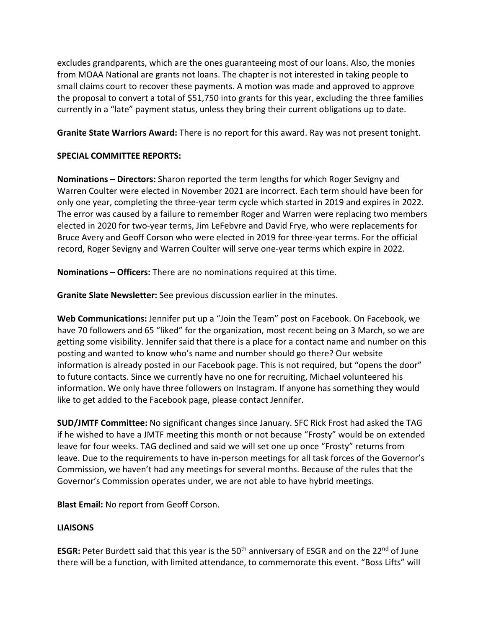excludes grandparents, which are the ones guaranteeing most of our loans. Also, the monies from MOAA National are grants not loans. The chapter is not interested in taking people to small claims court to recover these payments. A motion was made and approved to approve the proposal to convert a total of \$51,750 into grants for this year, excluding the three families currently in a "late" payment status, unless they bring their current obligations up to date.

**Granite State Warriors Award:** There is no report for this award. Ray was not present tonight.

## **SPECIAL COMMITTEE REPORTS:**

**Nominations – Directors:** Sharon reported the term lengths for which Roger Sevigny and Warren Coulter were elected in November 2021 are incorrect. Each term should have been for only one year, completing the three‐year term cycle which started in 2019 and expires in 2022. The error was caused by a failure to remember Roger and Warren were replacing two members elected in 2020 for two‐year terms, Jim LeFebvre and David Frye, who were replacements for Bruce Avery and Geoff Corson who were elected in 2019 for three‐year terms. For the official record, Roger Sevigny and Warren Coulter will serve one‐year terms which expire in 2022.

**Nominations – Officers:** There are no nominations required at this time.

**Granite Slate Newsletter:** See previous discussion earlier in the minutes.

**Web Communications:** Jennifer put up a "Join the Team" post on Facebook. On Facebook, we have 70 followers and 65 "liked" for the organization, most recent being on 3 March, so we are getting some visibility. Jennifer said that there is a place for a contact name and number on this posting and wanted to know who's name and number should go there? Our website information is already posted in our Facebook page. This is not required, but "opens the door" to future contacts. Since we currently have no one for recruiting, Michael volunteered his information. We only have three followers on Instagram. If anyone has something they would like to get added to the Facebook page, please contact Jennifer.

**SUD/JMTF Committee:** No significant changes since January. SFC Rick Frost had asked the TAG if he wished to have a JMTF meeting this month or not because "Frosty" would be on extended leave for four weeks. TAG declined and said we will set one up once "Frosty" returns from leave. Due to the requirements to have in‐person meetings for all task forces of the Governor's Commission, we haven't had any meetings for several months. Because of the rules that the Governor's Commission operates under, we are not able to have hybrid meetings.

**Blast Email:** No report from Geoff Corson.

# **LIAISONS**

**ESGR:** Peter Burdett said that this year is the 50<sup>th</sup> anniversary of ESGR and on the 22<sup>nd</sup> of June there will be a function, with limited attendance, to commemorate this event. "Boss Lifts" will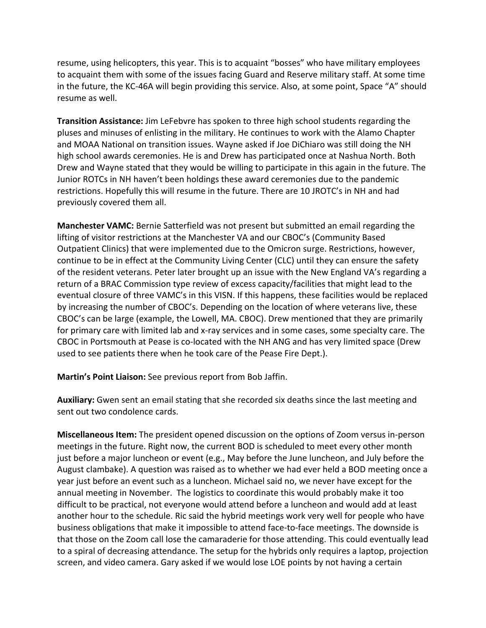resume, using helicopters, this year. This is to acquaint "bosses" who have military employees to acquaint them with some of the issues facing Guard and Reserve military staff. At some time in the future, the KC‐46A will begin providing this service. Also, at some point, Space "A" should resume as well.

**Transition Assistance:** Jim LeFebvre has spoken to three high school students regarding the pluses and minuses of enlisting in the military. He continues to work with the Alamo Chapter and MOAA National on transition issues. Wayne asked if Joe DiChiaro was still doing the NH high school awards ceremonies. He is and Drew has participated once at Nashua North. Both Drew and Wayne stated that they would be willing to participate in this again in the future. The Junior ROTCs in NH haven't been holdings these award ceremonies due to the pandemic restrictions. Hopefully this will resume in the future. There are 10 JROTC's in NH and had previously covered them all.

**Manchester VAMC:** Bernie Satterfield was not present but submitted an email regarding the lifting of visitor restrictions at the Manchester VA and our CBOC's (Community Based Outpatient Clinics) that were implemented due to the Omicron surge. Restrictions, however, continue to be in effect at the Community Living Center (CLC) until they can ensure the safety of the resident veterans. Peter later brought up an issue with the New England VA's regarding a return of a BRAC Commission type review of excess capacity/facilities that might lead to the eventual closure of three VAMC's in this VISN. If this happens, these facilities would be replaced by increasing the number of CBOC's. Depending on the location of where veterans live, these CBOC's can be large (example, the Lowell, MA. CBOC). Drew mentioned that they are primarily for primary care with limited lab and x-ray services and in some cases, some specialty care. The CBOC in Portsmouth at Pease is co‐located with the NH ANG and has very limited space (Drew used to see patients there when he took care of the Pease Fire Dept.).

**Martin's Point Liaison:** See previous report from Bob Jaffin.

**Auxiliary:** Gwen sent an email stating that she recorded six deaths since the last meeting and sent out two condolence cards.

**Miscellaneous Item:** The president opened discussion on the options of Zoom versus in‐person meetings in the future. Right now, the current BOD is scheduled to meet every other month just before a major luncheon or event (e.g., May before the June luncheon, and July before the August clambake). A question was raised as to whether we had ever held a BOD meeting once a year just before an event such as a luncheon. Michael said no, we never have except for the annual meeting in November. The logistics to coordinate this would probably make it too difficult to be practical, not everyone would attend before a luncheon and would add at least another hour to the schedule. Ric said the hybrid meetings work very well for people who have business obligations that make it impossible to attend face‐to‐face meetings. The downside is that those on the Zoom call lose the camaraderie for those attending. This could eventually lead to a spiral of decreasing attendance. The setup for the hybrids only requires a laptop, projection screen, and video camera. Gary asked if we would lose LOE points by not having a certain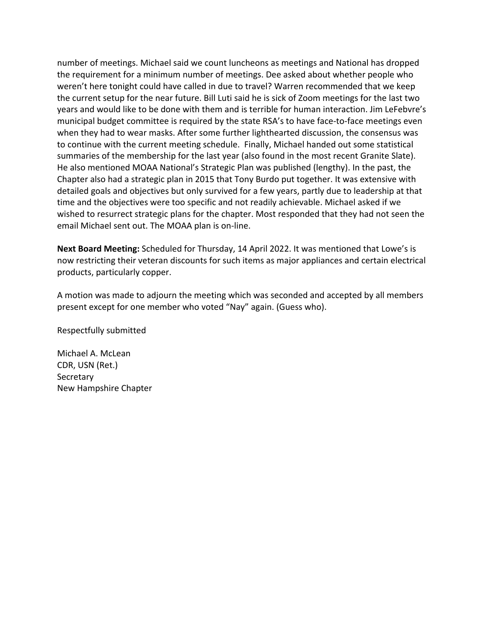number of meetings. Michael said we count luncheons as meetings and National has dropped the requirement for a minimum number of meetings. Dee asked about whether people who weren't here tonight could have called in due to travel? Warren recommended that we keep the current setup for the near future. Bill Luti said he is sick of Zoom meetings for the last two years and would like to be done with them and is terrible for human interaction. Jim LeFebvre's municipal budget committee is required by the state RSA's to have face-to-face meetings even when they had to wear masks. After some further lighthearted discussion, the consensus was to continue with the current meeting schedule. Finally, Michael handed out some statistical summaries of the membership for the last year (also found in the most recent Granite Slate). He also mentioned MOAA National's Strategic Plan was published (lengthy). In the past, the Chapter also had a strategic plan in 2015 that Tony Burdo put together. It was extensive with detailed goals and objectives but only survived for a few years, partly due to leadership at that time and the objectives were too specific and not readily achievable. Michael asked if we wished to resurrect strategic plans for the chapter. Most responded that they had not seen the email Michael sent out. The MOAA plan is on‐line.

**Next Board Meeting:** Scheduled for Thursday, 14 April 2022. It was mentioned that Lowe's is now restricting their veteran discounts for such items as major appliances and certain electrical products, particularly copper.

A motion was made to adjourn the meeting which was seconded and accepted by all members present except for one member who voted "Nay" again. (Guess who).

Respectfully submitted

Michael A. McLean CDR, USN (Ret.) **Secretary** New Hampshire Chapter